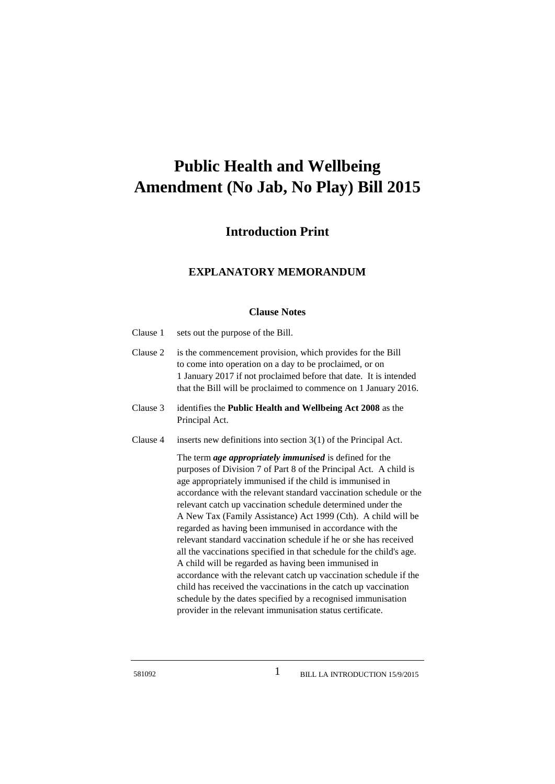## **Public Health and Wellbeing Amendment (No Jab, No Play) Bill 2015**

## **Introduction Print**

## **EXPLANATORY MEMORANDUM**

## **Clause Notes**

| Clause 1 | sets out the purpose of the Bill.                                                                                                                                                                                                                                                                                                                                                                                                                                                                                                                                                                                                                                                                                                                                                                                                                                                                                                         |
|----------|-------------------------------------------------------------------------------------------------------------------------------------------------------------------------------------------------------------------------------------------------------------------------------------------------------------------------------------------------------------------------------------------------------------------------------------------------------------------------------------------------------------------------------------------------------------------------------------------------------------------------------------------------------------------------------------------------------------------------------------------------------------------------------------------------------------------------------------------------------------------------------------------------------------------------------------------|
| Clause 2 | is the commencement provision, which provides for the Bill<br>to come into operation on a day to be proclaimed, or on<br>1 January 2017 if not proclaimed before that date. It is intended<br>that the Bill will be proclaimed to commence on 1 January 2016.                                                                                                                                                                                                                                                                                                                                                                                                                                                                                                                                                                                                                                                                             |
| Clause 3 | identifies the Public Health and Wellbeing Act 2008 as the<br>Principal Act.                                                                                                                                                                                                                                                                                                                                                                                                                                                                                                                                                                                                                                                                                                                                                                                                                                                              |
| Clause 4 | inserts new definitions into section $3(1)$ of the Principal Act.                                                                                                                                                                                                                                                                                                                                                                                                                                                                                                                                                                                                                                                                                                                                                                                                                                                                         |
|          | The term <i>age appropriately immunised</i> is defined for the<br>purposes of Division 7 of Part 8 of the Principal Act. A child is<br>age appropriately immunised if the child is immunised in<br>accordance with the relevant standard vaccination schedule or the<br>relevant catch up vaccination schedule determined under the<br>A New Tax (Family Assistance) Act 1999 (Cth). A child will be<br>regarded as having been immunised in accordance with the<br>relevant standard vaccination schedule if he or she has received<br>all the vaccinations specified in that schedule for the child's age.<br>A child will be regarded as having been immunised in<br>accordance with the relevant catch up vaccination schedule if the<br>child has received the vaccinations in the catch up vaccination<br>schedule by the dates specified by a recognised immunisation<br>provider in the relevant immunisation status certificate. |

1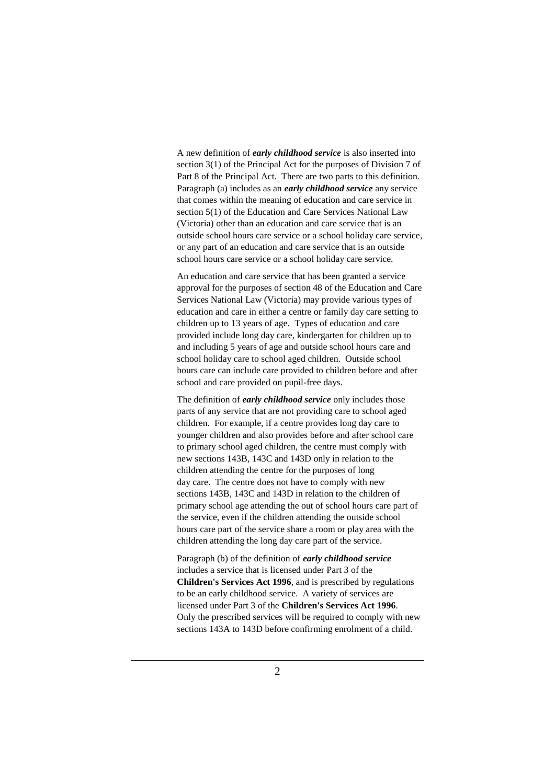A new definition of *early childhood service* is also inserted into section 3(1) of the Principal Act for the purposes of Division 7 of Part 8 of the Principal Act. There are two parts to this definition. Paragraph (a) includes as an *early childhood service* any service that comes within the meaning of education and care service in section 5(1) of the Education and Care Services National Law (Victoria) other than an education and care service that is an outside school hours care service or a school holiday care service, or any part of an education and care service that is an outside school hours care service or a school holiday care service.

An education and care service that has been granted a service approval for the purposes of section 48 of the Education and Care Services National Law (Victoria) may provide various types of education and care in either a centre or family day care setting to children up to 13 years of age. Types of education and care provided include long day care, kindergarten for children up to and including 5 years of age and outside school hours care and school holiday care to school aged children. Outside school hours care can include care provided to children before and after school and care provided on pupil-free days.

The definition of *early childhood service* only includes those parts of any service that are not providing care to school aged children. For example, if a centre provides long day care to younger children and also provides before and after school care to primary school aged children, the centre must comply with new sections 143B, 143C and 143D only in relation to the children attending the centre for the purposes of long day care. The centre does not have to comply with new sections 143B, 143C and 143D in relation to the children of primary school age attending the out of school hours care part of the service, even if the children attending the outside school hours care part of the service share a room or play area with the children attending the long day care part of the service.

Paragraph (b) of the definition of *early childhood service* includes a service that is licensed under Part 3 of the **Children's Services Act 1996**, and is prescribed by regulations to be an early childhood service. A variety of services are licensed under Part 3 of the **Children's Services Act 1996**. Only the prescribed services will be required to comply with new sections 143A to 143D before confirming enrolment of a child.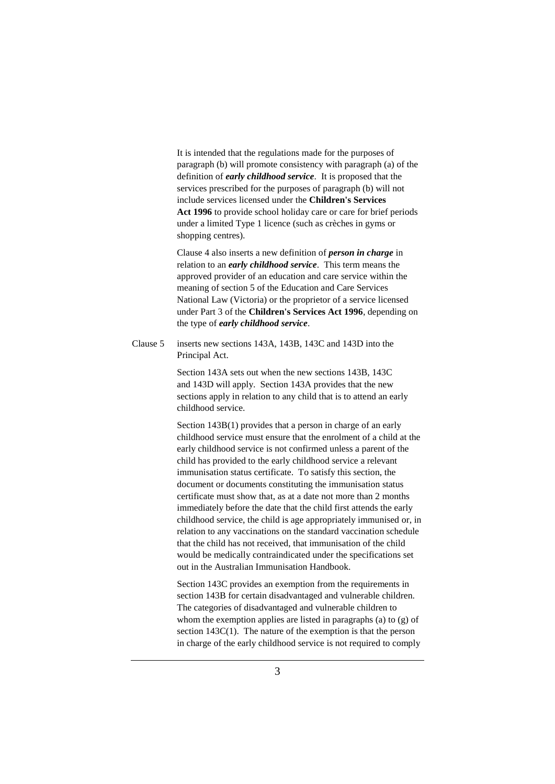It is intended that the regulations made for the purposes of paragraph (b) will promote consistency with paragraph (a) of the definition of *early childhood service*. It is proposed that the services prescribed for the purposes of paragraph (b) will not include services licensed under the **Children's Services Act 1996** to provide school holiday care or care for brief periods under a limited Type 1 licence (such as crèches in gyms or shopping centres).

Clause 4 also inserts a new definition of *person in charge* in relation to an *early childhood service*. This term means the approved provider of an education and care service within the meaning of section 5 of the Education and Care Services National Law (Victoria) or the proprietor of a service licensed under Part 3 of the **Children's Services Act 1996**, depending on the type of *early childhood service*.

Clause 5 inserts new sections 143A, 143B, 143C and 143D into the Principal Act.

> Section 143A sets out when the new sections 143B, 143C and 143D will apply. Section 143A provides that the new sections apply in relation to any child that is to attend an early childhood service.

Section 143B(1) provides that a person in charge of an early childhood service must ensure that the enrolment of a child at the early childhood service is not confirmed unless a parent of the child has provided to the early childhood service a relevant immunisation status certificate. To satisfy this section, the document or documents constituting the immunisation status certificate must show that, as at a date not more than 2 months immediately before the date that the child first attends the early childhood service, the child is age appropriately immunised or, in relation to any vaccinations on the standard vaccination schedule that the child has not received, that immunisation of the child would be medically contraindicated under the specifications set out in the Australian Immunisation Handbook.

Section 143C provides an exemption from the requirements in section 143B for certain disadvantaged and vulnerable children. The categories of disadvantaged and vulnerable children to whom the exemption applies are listed in paragraphs (a) to (g) of section 143C(1). The nature of the exemption is that the person in charge of the early childhood service is not required to comply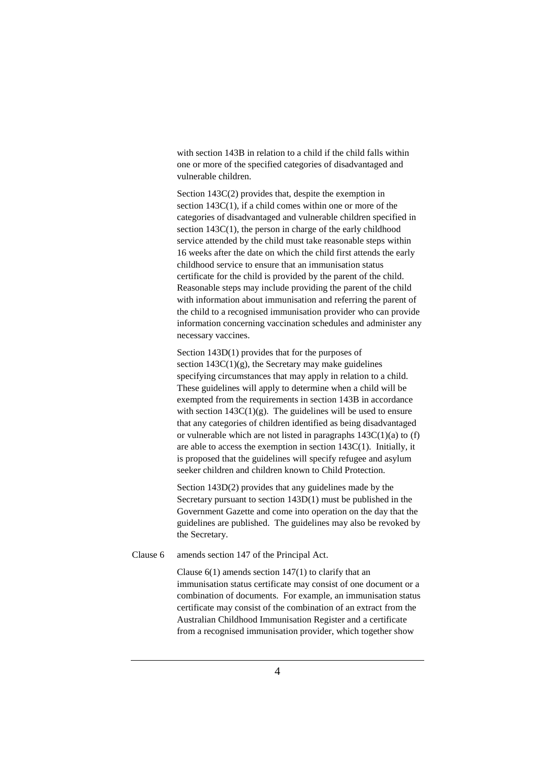with section 143B in relation to a child if the child falls within one or more of the specified categories of disadvantaged and vulnerable children.

Section 143C(2) provides that, despite the exemption in section 143C(1), if a child comes within one or more of the categories of disadvantaged and vulnerable children specified in section 143C(1), the person in charge of the early childhood service attended by the child must take reasonable steps within 16 weeks after the date on which the child first attends the early childhood service to ensure that an immunisation status certificate for the child is provided by the parent of the child. Reasonable steps may include providing the parent of the child with information about immunisation and referring the parent of the child to a recognised immunisation provider who can provide information concerning vaccination schedules and administer any necessary vaccines.

Section 143D(1) provides that for the purposes of section  $143C(1)(g)$ , the Secretary may make guidelines specifying circumstances that may apply in relation to a child. These guidelines will apply to determine when a child will be exempted from the requirements in section 143B in accordance with section  $143C(1)(g)$ . The guidelines will be used to ensure that any categories of children identified as being disadvantaged or vulnerable which are not listed in paragraphs  $143C(1)(a)$  to (f) are able to access the exemption in section 143C(1). Initially, it is proposed that the guidelines will specify refugee and asylum seeker children and children known to Child Protection.

Section 143D(2) provides that any guidelines made by the Secretary pursuant to section 143D(1) must be published in the Government Gazette and come into operation on the day that the guidelines are published. The guidelines may also be revoked by the Secretary.

Clause 6 amends section 147 of the Principal Act.

Clause  $6(1)$  amends section  $147(1)$  to clarify that an immunisation status certificate may consist of one document or a combination of documents. For example, an immunisation status certificate may consist of the combination of an extract from the Australian Childhood Immunisation Register and a certificate from a recognised immunisation provider, which together show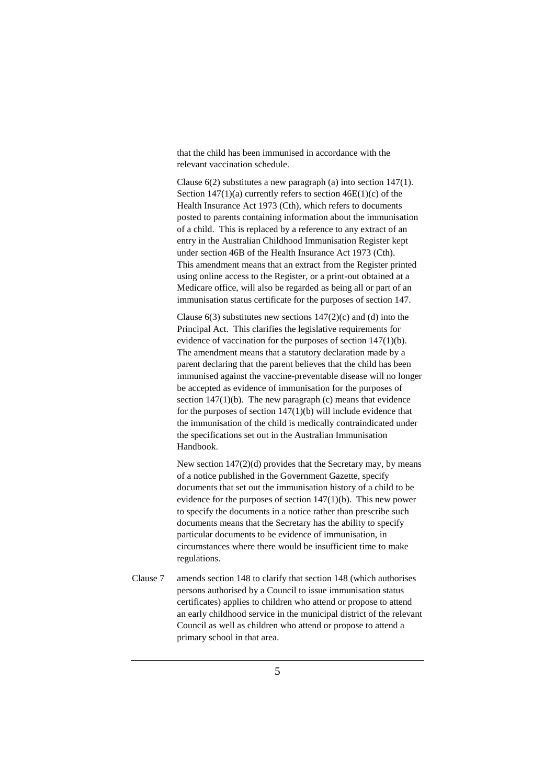that the child has been immunised in accordance with the relevant vaccination schedule.

Clause 6(2) substitutes a new paragraph (a) into section 147(1). Section  $147(1)(a)$  currently refers to section  $46E(1)(c)$  of the Health Insurance Act 1973 (Cth), which refers to documents posted to parents containing information about the immunisation of a child. This is replaced by a reference to any extract of an entry in the Australian Childhood Immunisation Register kept under section 46B of the Health Insurance Act 1973 (Cth). This amendment means that an extract from the Register printed using online access to the Register, or a print-out obtained at a Medicare office, will also be regarded as being all or part of an immunisation status certificate for the purposes of section 147.

Clause  $6(3)$  substitutes new sections  $147(2)(c)$  and (d) into the Principal Act. This clarifies the legislative requirements for evidence of vaccination for the purposes of section 147(1)(b). The amendment means that a statutory declaration made by a parent declaring that the parent believes that the child has been immunised against the vaccine-preventable disease will no longer be accepted as evidence of immunisation for the purposes of section  $147(1)(b)$ . The new paragraph (c) means that evidence for the purposes of section 147(1)(b) will include evidence that the immunisation of the child is medically contraindicated under the specifications set out in the Australian Immunisation Handbook.

New section 147(2)(d) provides that the Secretary may, by means of a notice published in the Government Gazette, specify documents that set out the immunisation history of a child to be evidence for the purposes of section 147(1)(b). This new power to specify the documents in a notice rather than prescribe such documents means that the Secretary has the ability to specify particular documents to be evidence of immunisation, in circumstances where there would be insufficient time to make regulations.

Clause 7 amends section 148 to clarify that section 148 (which authorises persons authorised by a Council to issue immunisation status certificates) applies to children who attend or propose to attend an early childhood service in the municipal district of the relevant Council as well as children who attend or propose to attend a primary school in that area.